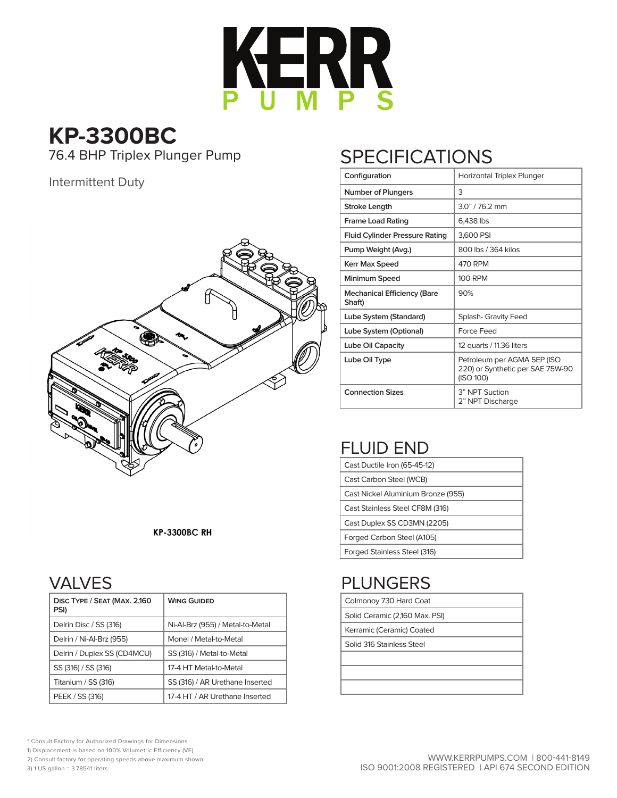

# **KP-3300BC**

### Intermittent Duty



#### **KP-3300BC RH**

### VALVES

| DISC TYPE / SEAT (MAX. 2,160<br>PSI) | <b>WING GUIDED</b>               |
|--------------------------------------|----------------------------------|
| Delrin Disc / SS (316)               | Ni-Al-Brz (955) / Metal-to-Metal |
| Delrin / Ni-Al-Brz (955)             | Monel / Metal-to-Metal           |
| Delrin / Duplex SS (CD4MCU)          | SS (316) / Metal-to-Metal        |
| SS (316) / SS (316)                  | 17-4 HT Metal-to-Metal           |
| Titanium / SS (316)                  | SS (316) / AR Urethane Inserted  |
| PEEK / SS (316)                      | 17-4 HT / AR Urethane Inserted   |

# 76.4 BHP Triplex Plunger Pump SPECIFICATIONS

| Configuration                                | Horizontal Triplex Plunger                                                   |  |  |  |  |  |  |  |
|----------------------------------------------|------------------------------------------------------------------------------|--|--|--|--|--|--|--|
| Number of Plungers                           | 3                                                                            |  |  |  |  |  |  |  |
| <b>Stroke Length</b>                         | $3.0" / 76.2$ mm                                                             |  |  |  |  |  |  |  |
| <b>Frame Load Rating</b>                     | 6,438 lbs                                                                    |  |  |  |  |  |  |  |
| <b>Fluid Cylinder Pressure Rating</b>        | 3,600 PSI                                                                    |  |  |  |  |  |  |  |
| Pump Weight (Avg.)                           | 800 lbs / 364 kilos                                                          |  |  |  |  |  |  |  |
| <b>Kerr Max Speed</b>                        | 470 RPM                                                                      |  |  |  |  |  |  |  |
| Minimum Speed                                | <b>100 RPM</b>                                                               |  |  |  |  |  |  |  |
| <b>Mechanical Efficiency (Bare</b><br>Shaft) | 90%                                                                          |  |  |  |  |  |  |  |
| Lube System (Standard)                       | Splash- Gravity Feed                                                         |  |  |  |  |  |  |  |
| Lube System (Optional)                       | Force Feed                                                                   |  |  |  |  |  |  |  |
| Lube Oil Capacity                            | 12 quarts / 11.36 liters                                                     |  |  |  |  |  |  |  |
| Lube Oil Type                                | Petroleum per AGMA 5EP (ISO<br>220) or Synthetic per SAE 75W-90<br>(ISO 100) |  |  |  |  |  |  |  |
| <b>Connection Sizes</b>                      | 3" NPT Suction<br>2" NPT Discharge                                           |  |  |  |  |  |  |  |

## FLUID END

| Cast Ductile Iron (65-45-12)       |  |  |  |  |  |  |  |
|------------------------------------|--|--|--|--|--|--|--|
| Cast Carbon Steel (WCB)            |  |  |  |  |  |  |  |
| Cast Nickel Aluminium Bronze (955) |  |  |  |  |  |  |  |
| Cast Stainless Steel CF8M (316)    |  |  |  |  |  |  |  |
| Cast Duplex SS CD3MN (2205)        |  |  |  |  |  |  |  |
| Forged Carbon Steel (A105)         |  |  |  |  |  |  |  |
| Forged Stainless Steel (316)       |  |  |  |  |  |  |  |

# PLUNGERS

| Colmonoy 730 Hard Coat         |  |  |  |  |  |  |  |  |
|--------------------------------|--|--|--|--|--|--|--|--|
| Solid Ceramic (2,160 Max. PSI) |  |  |  |  |  |  |  |  |

| <b>JOIN CERTIFIC (2,100 MIGA. I JI)</b> |  |  |  |  |  |  |  |  |  |  |
|-----------------------------------------|--|--|--|--|--|--|--|--|--|--|
| Kerramic (Ceramic) Coated               |  |  |  |  |  |  |  |  |  |  |

Solid 316 Stainless Steel

\* Consult Factory for Authorized Drawings for Dimensions

1) Displacement is based on 100% Volumetric Efficiency (VE)

2) Consult factory for operating speeds above maximum shown

3) 1 US gallon = 3.78541 liters